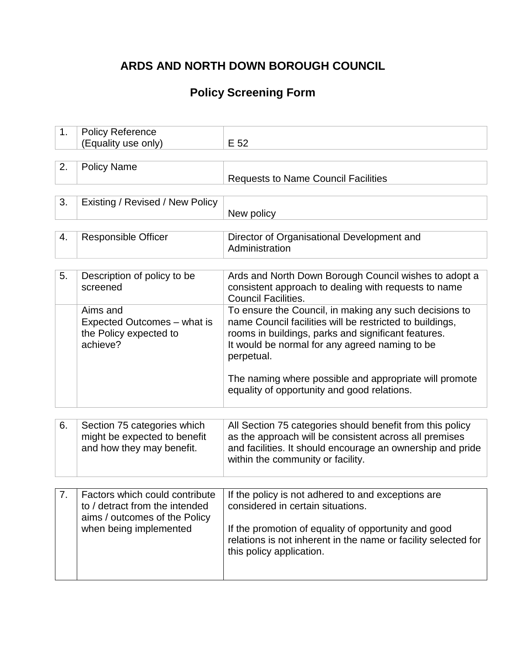# **ARDS AND NORTH DOWN BOROUGH COUNCIL**

## **Policy Screening Form**

| 1. | <b>Policy Reference</b>         |                                                                |
|----|---------------------------------|----------------------------------------------------------------|
|    | (Equality use only)             | E 52                                                           |
|    |                                 |                                                                |
| 2. | <b>Policy Name</b>              |                                                                |
|    |                                 | <b>Requests to Name Council Facilities</b>                     |
|    |                                 |                                                                |
| 3. | Existing / Revised / New Policy |                                                                |
|    |                                 | New policy                                                     |
|    |                                 |                                                                |
| 4. | <b>Responsible Officer</b>      | Director of Organisational Development and                     |
|    |                                 | Administration                                                 |
|    |                                 |                                                                |
| 5. | Description of policy to be     | Ards and North Down Borough Council wishes to adopt a          |
|    | screened                        | consistent approach to dealing with requests to name           |
|    |                                 | <b>Council Facilities.</b>                                     |
|    | Aims and                        | To ensure the Council, in making any such decisions to         |
|    | Expected Outcomes - what is     | name Council facilities will be restricted to buildings,       |
|    | the Policy expected to          | rooms in buildings, parks and significant features.            |
|    | achieve?                        | It would be normal for any agreed naming to be                 |
|    |                                 | perpetual.                                                     |
|    |                                 |                                                                |
|    |                                 | The naming where possible and appropriate will promote         |
|    |                                 | equality of opportunity and good relations.                    |
|    |                                 |                                                                |
|    |                                 |                                                                |
| 6. | Section 75 categories which     | All Section 75 categories should benefit from this policy      |
|    | might be expected to benefit    | as the approach will be consistent across all premises         |
|    | and how they may benefit.       | and facilities. It should encourage an ownership and pride     |
|    |                                 | within the community or facility.                              |
|    |                                 |                                                                |
|    |                                 |                                                                |
|    | Factors which could contribute  | If the policy is not adhered to and exceptions are             |
|    | to / detract from the intended  | considered in certain situations.                              |
|    | aims / outcomes of the Policy   |                                                                |
|    | when being implemented          | If the promotion of equality of opportunity and good           |
|    |                                 | relations is not inherent in the name or facility selected for |
|    |                                 | this policy application.                                       |
|    |                                 |                                                                |
|    |                                 |                                                                |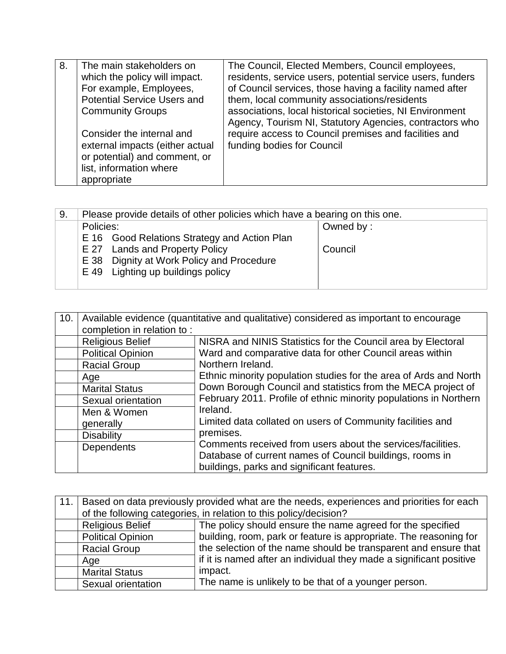| 8. | The main stakeholders on<br>which the policy will impact.<br>For example, Employees,<br><b>Potential Service Users and</b><br><b>Community Groups</b><br>Consider the internal and<br>external impacts (either actual<br>or potential) and comment, or | The Council, Elected Members, Council employees,<br>residents, service users, potential service users, funders<br>of Council services, those having a facility named after<br>them, local community associations/residents<br>associations, local historical societies, NI Environment<br>Agency, Tourism NI, Statutory Agencies, contractors who<br>require access to Council premises and facilities and<br>funding bodies for Council |
|----|--------------------------------------------------------------------------------------------------------------------------------------------------------------------------------------------------------------------------------------------------------|------------------------------------------------------------------------------------------------------------------------------------------------------------------------------------------------------------------------------------------------------------------------------------------------------------------------------------------------------------------------------------------------------------------------------------------|
|    | list, information where<br>appropriate                                                                                                                                                                                                                 |                                                                                                                                                                                                                                                                                                                                                                                                                                          |

| 9. | Please provide details of other policies which have a bearing on this one. |           |  |
|----|----------------------------------------------------------------------------|-----------|--|
|    | Policies:                                                                  | Owned by: |  |
|    | E 16 Good Relations Strategy and Action Plan                               |           |  |
|    | E 27 Lands and Property Policy                                             | Council   |  |
|    | E 38 Dignity at Work Policy and Procedure                                  |           |  |
|    | E 49 Lighting up buildings policy                                          |           |  |
|    |                                                                            |           |  |

| 10. | Available evidence (quantitative and qualitative) considered as important to encourage |                                                                                                                                                                                                        |  |  |
|-----|----------------------------------------------------------------------------------------|--------------------------------------------------------------------------------------------------------------------------------------------------------------------------------------------------------|--|--|
|     | completion in relation to:                                                             |                                                                                                                                                                                                        |  |  |
|     | <b>Religious Belief</b>                                                                | NISRA and NINIS Statistics for the Council area by Electoral                                                                                                                                           |  |  |
|     | <b>Political Opinion</b>                                                               | Ward and comparative data for other Council areas within                                                                                                                                               |  |  |
|     | <b>Racial Group</b>                                                                    | Northern Ireland.                                                                                                                                                                                      |  |  |
|     | Age                                                                                    | Ethnic minority population studies for the area of Ards and North<br>Down Borough Council and statistics from the MECA project of<br>February 2011. Profile of ethnic minority populations in Northern |  |  |
|     | <b>Marital Status</b>                                                                  |                                                                                                                                                                                                        |  |  |
|     | Sexual orientation                                                                     |                                                                                                                                                                                                        |  |  |
|     | Men & Women                                                                            | Ireland.<br>Limited data collated on users of Community facilities and                                                                                                                                 |  |  |
|     | generally                                                                              |                                                                                                                                                                                                        |  |  |
|     | <b>Disability</b>                                                                      | premises.                                                                                                                                                                                              |  |  |
|     | <b>Dependents</b>                                                                      | Comments received from users about the services/facilities.                                                                                                                                            |  |  |
|     |                                                                                        | Database of current names of Council buildings, rooms in                                                                                                                                               |  |  |
|     |                                                                                        | buildings, parks and significant features.                                                                                                                                                             |  |  |

| 11. | Based on data previously provided what are the needs, experiences and priorities for each     |                                                                     |  |
|-----|-----------------------------------------------------------------------------------------------|---------------------------------------------------------------------|--|
|     | of the following categories, in relation to this policy/decision?                             |                                                                     |  |
|     | <b>Religious Belief</b><br>The policy should ensure the name agreed for the specified         |                                                                     |  |
|     | building, room, park or feature is appropriate. The reasoning for<br><b>Political Opinion</b> |                                                                     |  |
|     | the selection of the name should be transparent and ensure that<br><b>Racial Group</b>        |                                                                     |  |
|     | Age                                                                                           | if it is named after an individual they made a significant positive |  |
|     | <b>Marital Status</b>                                                                         | impact.                                                             |  |
|     | Sexual orientation                                                                            | The name is unlikely to be that of a younger person.                |  |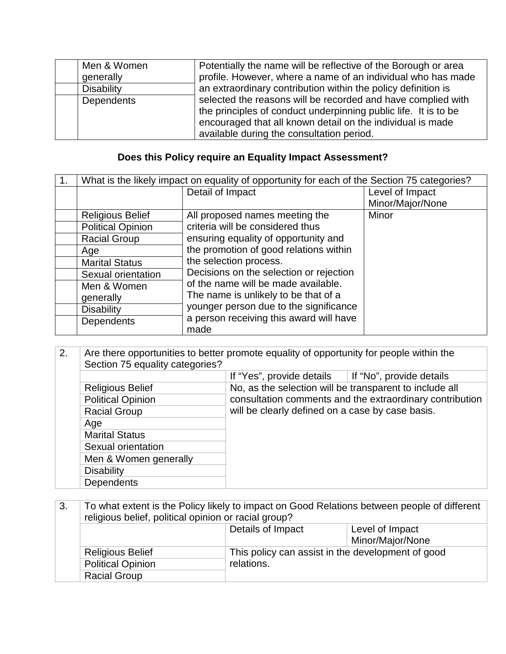| Men & Women       | Potentially the name will be reflective of the Borough or area  |
|-------------------|-----------------------------------------------------------------|
| generally         | profile. However, where a name of an individual who has made    |
| <b>Disability</b> | an extraordinary contribution within the policy definition is   |
| Dependents        | selected the reasons will be recorded and have complied with    |
|                   | the principles of conduct underpinning public life. It is to be |
|                   | encouraged that all known detail on the individual is made      |
|                   | available during the consultation period.                       |

## **Does this Policy require an Equality Impact Assessment?**

| 1. | What is the likely impact on equality of opportunity for each of the Section 75 categories? |                                         |                  |
|----|---------------------------------------------------------------------------------------------|-----------------------------------------|------------------|
|    |                                                                                             | Detail of Impact                        | Level of Impact  |
|    |                                                                                             |                                         | Minor/Major/None |
|    | <b>Religious Belief</b>                                                                     | All proposed names meeting the          | Minor            |
|    | <b>Political Opinion</b>                                                                    | criteria will be considered thus        |                  |
|    | <b>Racial Group</b>                                                                         | ensuring equality of opportunity and    |                  |
|    | Age                                                                                         | the promotion of good relations within  |                  |
|    | <b>Marital Status</b>                                                                       | the selection process.                  |                  |
|    | Sexual orientation                                                                          | Decisions on the selection or rejection |                  |
|    | Men & Women                                                                                 | of the name will be made available.     |                  |
|    | generally                                                                                   | The name is unlikely to be that of a    |                  |
|    | <b>Disability</b>                                                                           | younger person due to the significance  |                  |
|    | Dependents                                                                                  | a person receiving this award will have |                  |
|    |                                                                                             | made                                    |                  |

| 2. | Are there opportunities to better promote equality of opportunity for people within the |                                                                                                              |                          |
|----|-----------------------------------------------------------------------------------------|--------------------------------------------------------------------------------------------------------------|--------------------------|
|    | Section 75 equality categories?                                                         |                                                                                                              |                          |
|    |                                                                                         | If "Yes", provide details                                                                                    | If "No", provide details |
|    | <b>Religious Belief</b>                                                                 | No, as the selection will be transparent to include all                                                      |                          |
|    | <b>Political Opinion</b>                                                                | consultation comments and the extraordinary contribution<br>will be clearly defined on a case by case basis. |                          |
|    | <b>Racial Group</b>                                                                     |                                                                                                              |                          |
|    | Age                                                                                     |                                                                                                              |                          |
|    | <b>Marital Status</b>                                                                   |                                                                                                              |                          |
|    | Sexual orientation                                                                      |                                                                                                              |                          |
|    | Men & Women generally                                                                   |                                                                                                              |                          |
|    | <b>Disability</b>                                                                       |                                                                                                              |                          |
|    | <b>Dependents</b>                                                                       |                                                                                                              |                          |

| 3.                                     | To what extent is the Policy likely to impact on Good Relations between people of different |  |  |  |
|----------------------------------------|---------------------------------------------------------------------------------------------|--|--|--|
|                                        | religious belief, political opinion or racial group?                                        |  |  |  |
|                                        | Details of Impact<br>Level of Impact                                                        |  |  |  |
|                                        | Minor/Major/None                                                                            |  |  |  |
|                                        | This policy can assist in the development of good<br><b>Religious Belief</b>                |  |  |  |
| <b>Political Opinion</b><br>relations. |                                                                                             |  |  |  |
|                                        | <b>Racial Group</b>                                                                         |  |  |  |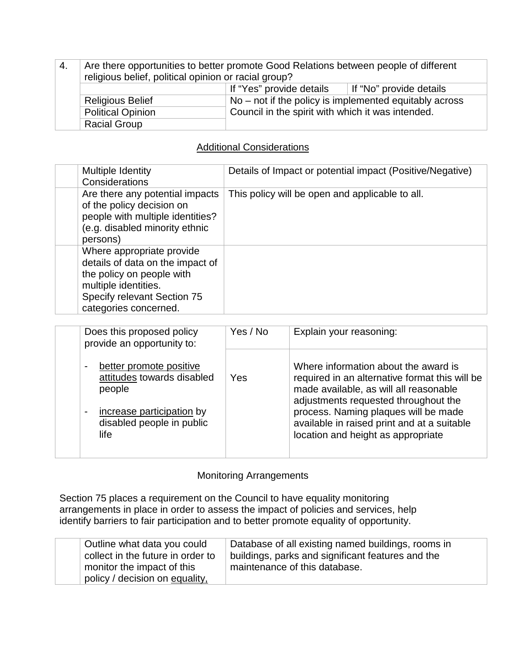| -4.                                                                                 | Are there opportunities to better promote Good Relations between people of different<br>religious belief, political opinion or racial group? |                                                   |  |
|-------------------------------------------------------------------------------------|----------------------------------------------------------------------------------------------------------------------------------------------|---------------------------------------------------|--|
| If "Yes" provide details                                                            |                                                                                                                                              | If "No" provide details                           |  |
| $No$ – not if the policy is implemented equitably across<br><b>Religious Belief</b> |                                                                                                                                              |                                                   |  |
|                                                                                     | <b>Political Opinion</b>                                                                                                                     | Council in the spirit with which it was intended. |  |
|                                                                                     | <b>Racial Group</b>                                                                                                                          |                                                   |  |

### Additional Considerations

| Multiple Identity<br>Considerations                                                                                                                                        | Details of Impact or potential impact (Positive/Negative) |
|----------------------------------------------------------------------------------------------------------------------------------------------------------------------------|-----------------------------------------------------------|
| Are there any potential impacts<br>of the policy decision on<br>people with multiple identities?<br>(e.g. disabled minority ethnic<br>persons)                             | This policy will be open and applicable to all.           |
| Where appropriate provide<br>details of data on the impact of<br>the policy on people with<br>multiple identities.<br>Specify relevant Section 75<br>categories concerned. |                                                           |

| Does this proposed policy<br>provide an opportunity to:                                                                           | Yes / No | Explain your reasoning:                                                                                                                                                                                                                                                                               |
|-----------------------------------------------------------------------------------------------------------------------------------|----------|-------------------------------------------------------------------------------------------------------------------------------------------------------------------------------------------------------------------------------------------------------------------------------------------------------|
| better promote positive<br>attitudes towards disabled<br>people<br>increase participation by<br>disabled people in public<br>life | Yes      | Where information about the award is<br>required in an alternative format this will be<br>made available, as will all reasonable<br>adjustments requested throughout the<br>process. Naming plaques will be made<br>available in raised print and at a suitable<br>location and height as appropriate |
|                                                                                                                                   |          |                                                                                                                                                                                                                                                                                                       |

### Monitoring Arrangements

Section 75 places a requirement on the Council to have equality monitoring arrangements in place in order to assess the impact of policies and services, help identify barriers to fair participation and to better promote equality of opportunity.

| Outline what data you could       | Database of all existing named buildings, rooms in |
|-----------------------------------|----------------------------------------------------|
| collect in the future in order to | buildings, parks and significant features and the  |
| monitor the impact of this        | maintenance of this database.                      |
| policy / decision on equality,    |                                                    |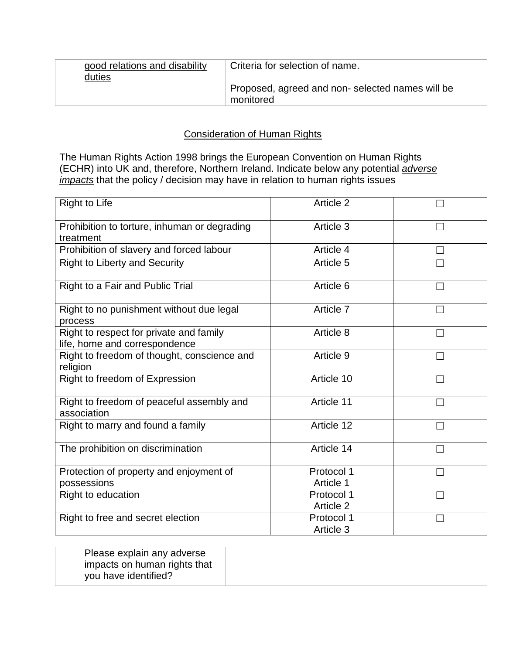|               | good relations and disability | Criteria for selection of name.                 |
|---------------|-------------------------------|-------------------------------------------------|
| <u>duties</u> |                               |                                                 |
|               |                               | Proposed, agreed and non-selected names will be |
|               |                               | monitored                                       |

### Consideration of Human Rights

The Human Rights Action 1998 brings the European Convention on Human Rights (ECHR) into UK and, therefore, Northern Ireland. Indicate below any potential *adverse impacts* that the policy / decision may have in relation to human rights issues

| <b>Right to Life</b>                                                     | Article 2               |  |
|--------------------------------------------------------------------------|-------------------------|--|
| Prohibition to torture, inhuman or degrading<br>treatment                | Article 3               |  |
| Prohibition of slavery and forced labour                                 | Article 4               |  |
| <b>Right to Liberty and Security</b>                                     | Article 5               |  |
| Right to a Fair and Public Trial                                         | Article 6               |  |
| Right to no punishment without due legal<br>process                      | Article 7               |  |
| Right to respect for private and family<br>life, home and correspondence | Article 8               |  |
| Right to freedom of thought, conscience and<br>religion                  | Article 9               |  |
| Right to freedom of Expression                                           | Article 10              |  |
| Right to freedom of peaceful assembly and<br>association                 | Article 11              |  |
| Right to marry and found a family                                        | Article 12              |  |
| The prohibition on discrimination                                        | Article 14              |  |
| Protection of property and enjoyment of                                  | Protocol 1              |  |
| possessions                                                              | Article 1               |  |
| Right to education                                                       | Protocol 1<br>Article 2 |  |
| Right to free and secret election                                        | Protocol 1<br>Article 3 |  |

| Please explain any adverse   |  |
|------------------------------|--|
| impacts on human rights that |  |
| vou have identified?         |  |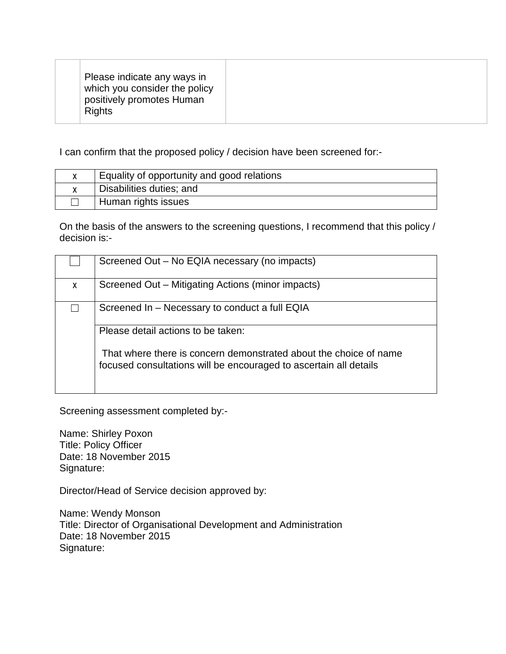| Please indicate any ways in<br>which you consider the policy<br>positively promotes Human<br><b>Rights</b> |  |
|------------------------------------------------------------------------------------------------------------|--|

I can confirm that the proposed policy / decision have been screened for:-

| Equality of opportunity and good relations |
|--------------------------------------------|
| Disabilities duties; and                   |
| Human rights issues                        |

On the basis of the answers to the screening questions, I recommend that this policy / decision is:-

|   | Screened Out - No EQIA necessary (no impacts)                                                                                          |
|---|----------------------------------------------------------------------------------------------------------------------------------------|
| X | Screened Out – Mitigating Actions (minor impacts)                                                                                      |
|   | Screened In – Necessary to conduct a full EQIA                                                                                         |
|   | Please detail actions to be taken:                                                                                                     |
|   | That where there is concern demonstrated about the choice of name<br>focused consultations will be encouraged to ascertain all details |

Screening assessment completed by:-

Name: Shirley Poxon Title: Policy Officer Date: 18 November 2015 Signature:

Director/Head of Service decision approved by:

Name: Wendy Monson Title: Director of Organisational Development and Administration Date: 18 November 2015 Signature: